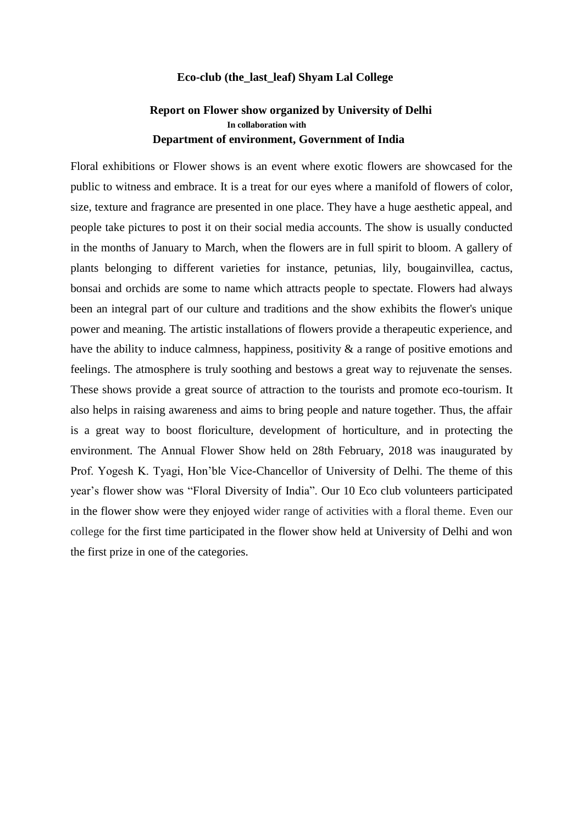## **Eco-club (the\_last\_leaf) Shyam Lal College**

## **Report on Flower show organized by University of Delhi In collaboration with Department of environment, Government of India**

Floral exhibitions or Flower shows is an event where exotic flowers are showcased for the public to witness and embrace. It is a treat for our eyes where a manifold of flowers of color, size, texture and fragrance are presented in one place. They have a huge aesthetic appeal, and people take pictures to post it on their social media accounts. The show is usually conducted in the months of January to March, when the flowers are in full spirit to bloom. A gallery of plants belonging to different varieties for instance, petunias, lily, bougainvillea, cactus, bonsai and orchids are some to name which attracts people to spectate. Flowers had always been an integral part of our culture and traditions and the show exhibits the flower's unique power and meaning. The artistic installations of flowers provide a therapeutic experience, and have the ability to induce calmness, happiness, positivity & a range of positive emotions and feelings. The atmosphere is truly soothing and bestows a great way to rejuvenate the senses. These shows provide a great source of attraction to the tourists and promote eco-tourism. It also helps in raising awareness and aims to bring people and nature together. Thus, the affair is a great way to boost floriculture, development of horticulture, and in protecting the environment. The Annual Flower Show held on 28th February, 2018 was inaugurated by Prof. Yogesh K. Tyagi, Hon'ble Vice-Chancellor of University of Delhi. The theme of this year's flower show was "Floral Diversity of India". Our 10 Eco club volunteers participated in the flower show were they enjoyed wider range of activities with a floral theme. Even our college for the first time participated in the flower show held at University of Delhi and won the first prize in one of the categories.